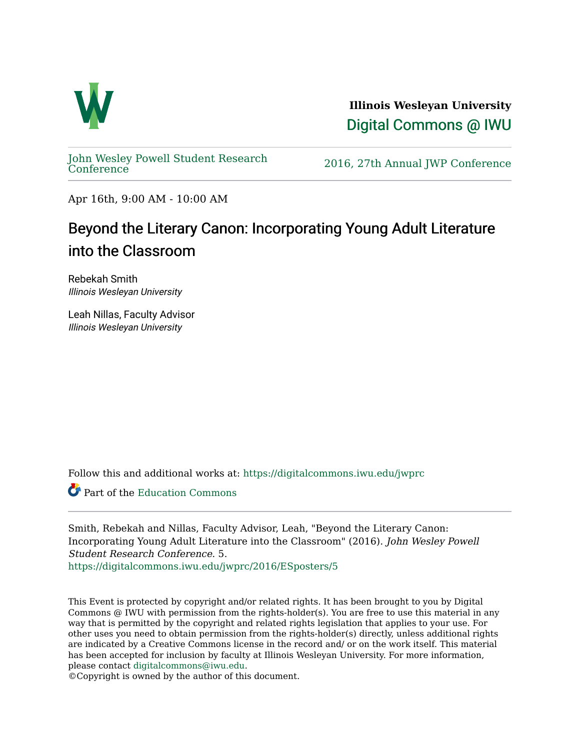

**Illinois Wesleyan University**  [Digital Commons @ IWU](https://digitalcommons.iwu.edu/) 

[John Wesley Powell Student Research](https://digitalcommons.iwu.edu/jwprc) 

2016, 27th Annual JWP [Conference](https://digitalcommons.iwu.edu/jwprc)

Apr 16th, 9:00 AM - 10:00 AM

#### Beyond the Literary Canon: Incorporating Young Adult Literature into the Classroom

Rebekah Smith Illinois Wesleyan University

Leah Nillas, Faculty Advisor Illinois Wesleyan University

Follow this and additional works at: [https://digitalcommons.iwu.edu/jwprc](https://digitalcommons.iwu.edu/jwprc?utm_source=digitalcommons.iwu.edu%2Fjwprc%2F2016%2FESposters%2F5&utm_medium=PDF&utm_campaign=PDFCoverPages) 

Part of the [Education Commons](http://network.bepress.com/hgg/discipline/784?utm_source=digitalcommons.iwu.edu%2Fjwprc%2F2016%2FESposters%2F5&utm_medium=PDF&utm_campaign=PDFCoverPages)

Smith, Rebekah and Nillas, Faculty Advisor, Leah, "Beyond the Literary Canon: Incorporating Young Adult Literature into the Classroom" (2016). John Wesley Powell Student Research Conference. 5.

[https://digitalcommons.iwu.edu/jwprc/2016/ESposters/5](https://digitalcommons.iwu.edu/jwprc/2016/ESposters/5?utm_source=digitalcommons.iwu.edu%2Fjwprc%2F2016%2FESposters%2F5&utm_medium=PDF&utm_campaign=PDFCoverPages)

This Event is protected by copyright and/or related rights. It has been brought to you by Digital Commons @ IWU with permission from the rights-holder(s). You are free to use this material in any way that is permitted by the copyright and related rights legislation that applies to your use. For other uses you need to obtain permission from the rights-holder(s) directly, unless additional rights are indicated by a Creative Commons license in the record and/ or on the work itself. This material has been accepted for inclusion by faculty at Illinois Wesleyan University. For more information, please contact [digitalcommons@iwu.edu.](mailto:digitalcommons@iwu.edu)

©Copyright is owned by the author of this document.